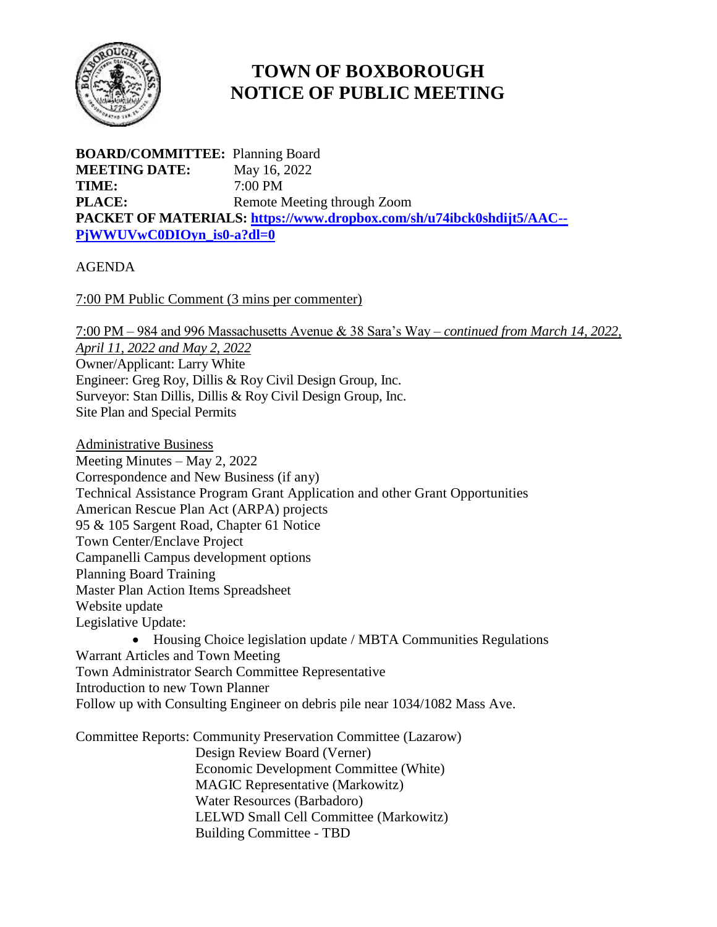

## **TOWN OF BOXBOROUGH NOTICE OF PUBLIC MEETING**

**BOARD/COMMITTEE:** Planning Board **MEETING DATE:** May 16, 2022 **TIME:** 7:00 PM **PLACE:** Remote Meeting through Zoom **PACKET OF MATERIALS: [https://www.dropbox.com/sh/u74ibck0shdijt5/AAC--](https://www.dropbox.com/sh/u74ibck0shdijt5/AAC--PjWWUVwC0DIOyn_is0-a?dl=0) [PjWWUVwC0DIOyn\\_is0-a?dl=0](https://www.dropbox.com/sh/u74ibck0shdijt5/AAC--PjWWUVwC0DIOyn_is0-a?dl=0)**

## AGENDA

7:00 PM Public Comment (3 mins per commenter)

7:00 PM – 984 and 996 Massachusetts Avenue & 38 Sara's Way – *continued from March 14, 2022,* 

*April 11, 2022 and May 2, 2022* Owner/Applicant: Larry White Engineer: Greg Roy, Dillis & Roy Civil Design Group, Inc. Surveyor: Stan Dillis, Dillis & Roy Civil Design Group, Inc. Site Plan and Special Permits

Administrative Business Meeting Minutes – May 2, 2022 Correspondence and New Business (if any) Technical Assistance Program Grant Application and other Grant Opportunities American Rescue Plan Act (ARPA) projects 95 & 105 Sargent Road, Chapter 61 Notice Town Center/Enclave Project Campanelli Campus development options Planning Board Training Master Plan Action Items Spreadsheet Website update Legislative Update: • Housing Choice legislation update / MBTA Communities Regulations

Warrant Articles and Town Meeting Town Administrator Search Committee Representative Introduction to new Town Planner Follow up with Consulting Engineer on debris pile near 1034/1082 Mass Ave.

Committee Reports: Community Preservation Committee (Lazarow)

Design Review Board (Verner) Economic Development Committee (White) MAGIC Representative (Markowitz) Water Resources (Barbadoro) LELWD Small Cell Committee (Markowitz) Building Committee - TBD